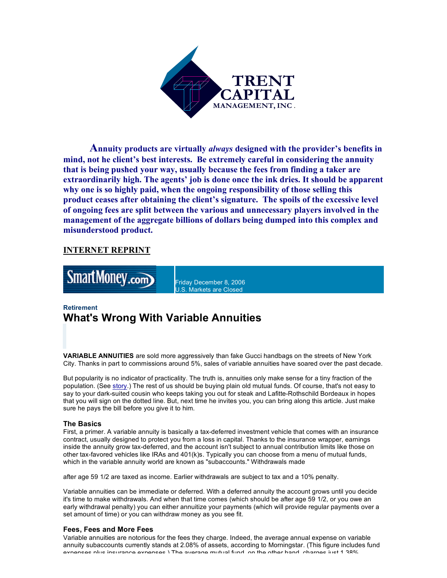

**Annuity products are virtually** *always* **designed with the provider's benefits in mind, not he client's best interests. Be extremely careful in considering the annuity that is being pushed your way, usually because the fees from finding a taker are extraordinarily high. The agents' job is done once the ink dries. It should be apparent why one is so highly paid, when the ongoing responsibility of those selling this product ceases after obtaining the client's signature. The spoils of the excessive level of ongoing fees are split between the various and unnecessary players involved in the management of the aggregate billions of dollars being dumped into this complex and misunderstood product.** 

## **INTERNET REPRINT**



Friday December 8, 2006 U.S. Markets are Closed

# **Retirement What's Wrong With Variable Annuities**

**VARIABLE ANNUITIES** are sold more aggressively than fake Gucci handbags on the streets of New York City. Thanks in part to commissions around 5%, sales of variable annuities have soared over the past decade.

But popularity is no indicator of practicality. The truth is, annuities only make sense for a tiny fraction of the population. (See story.) The rest of us should be buying plain old mutual funds. Of course, that's not easy to say to your dark-suited cousin who keeps taking you out for steak and Lafitte-Rothschild Bordeaux in hopes that you will sign on the dotted line. But, next time he invites you, you can bring along this article. Just make sure he pays the bill before you give it to him.

## **The Basics**

First, a primer. A variable annuity is basically a tax-deferred investment vehicle that comes with an insurance contract, usually designed to protect you from a loss in capital. Thanks to the insurance wrapper, earnings inside the annuity grow tax-deferred, and the account isn't subject to annual contribution limits like those on other tax-favored vehicles like IRAs and 401(k)s. Typically you can choose from a menu of mutual funds, which in the variable annuity world are known as "subaccounts." Withdrawals made

after age 59 1/2 are taxed as income. Earlier withdrawals are subject to tax and a 10% penalty.

Variable annuities can be immediate or deferred. With a deferred annuity the account grows until you decide it's time to make withdrawals. And when that time comes (which should be after age 59 1/2, or you owe an early withdrawal penalty) you can either annuitize your payments (which will provide regular payments over a set amount of time) or you can withdraw money as you see fit.

## **Fees, Fees and More Fees**

Variable annuities are notorious for the fees they charge. Indeed, the average annual expense on variable annuity subaccounts currently stands at 2.08% of assets, according to Morningstar. (This figure includes fund avnances plus insurance avences ) The average mutual fund, on the other hand, charges just 1.38%.